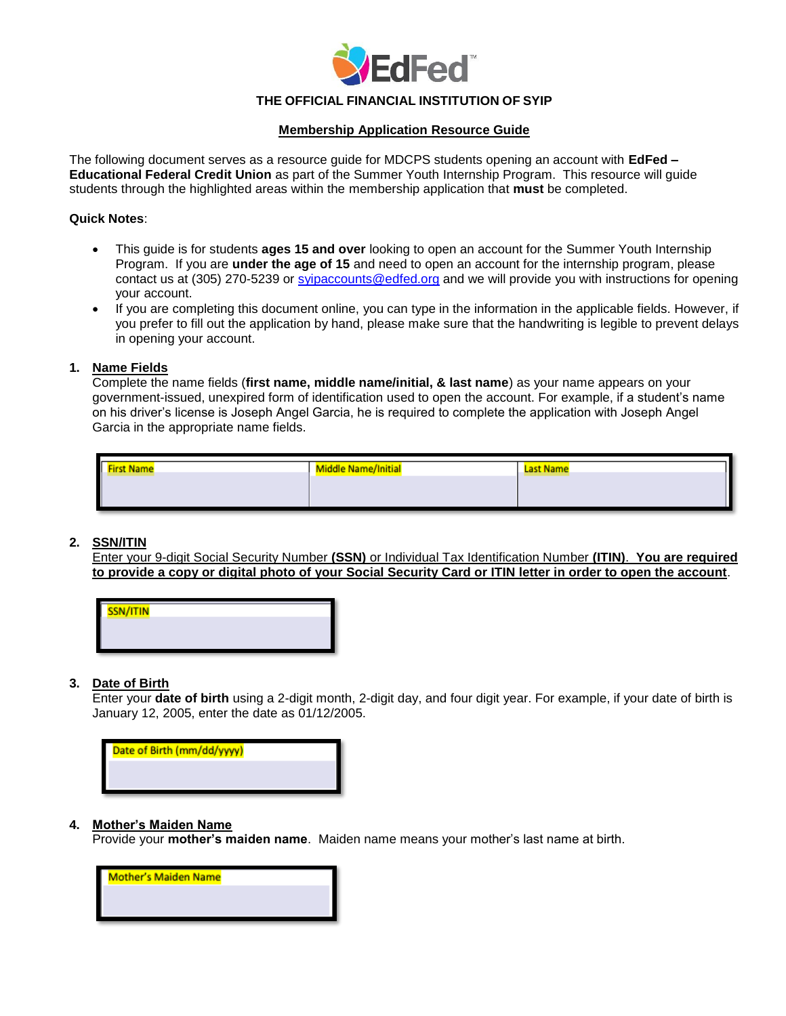

# **THE OFFICIAL FINANCIAL INSTITUTION OF SYIP**

# **Membership Application Resource Guide**

The following document serves as a resource guide for MDCPS students opening an account with **EdFed – Educational Federal Credit Union** as part of the Summer Youth Internship Program. This resource will guide students through the highlighted areas within the membership application that **must** be completed.

#### **Quick Notes**:

- $\bullet$ This guide is for students **ages 15 and over** looking to open an account for the Summer Youth Internship Program. If you are **under the age of 15** and need to open an account for the internship program, please contact us at (305) 270-5239 or [syipaccounts@edfed.org](mailto:syipaccounts@edfed.org) and we will provide you with instructions for opening your account.
- $\bullet$ If you are completing this document online, you can type in the information in the applicable fields. However, if you prefer to fill out the application by hand, please make sure that the handwriting is legible to prevent delays in opening your account.

## **1. Name Fields**

Complete the name fields (**first name, middle name/initial, & last name**) as your name appears on your government-issued, unexpired form of identification used to open the account. For example, if a student's name on his driver's license is Joseph Angel Garcia, he is required to complete the application with Joseph Angel Garcia in the appropriate name fields.

| <b>First Name</b><br><u> De la Carlo de la Carlo de la Carlo de la Ca</u> | <b>Middle Name/Initial</b> | <b>Last Name</b> |  |  |
|---------------------------------------------------------------------------|----------------------------|------------------|--|--|
|                                                                           |                            |                  |  |  |
|                                                                           |                            |                  |  |  |
|                                                                           |                            |                  |  |  |

## **2. SSN/ITIN**

Enter your 9-digit Social Security Number **(SSN)** or Individual Tax Identification Number **(ITIN)**. **You are required to provide a copy or digital photo of your Social Security Card or ITIN letter in order to open the account**.

| SSN/ITIN |  |
|----------|--|
|          |  |
|          |  |
|          |  |
|          |  |

## **3. Date of Birth**

Enter your **date of birth** using a 2-digit month, 2-digit day, and four digit year. For example, if your date of birth is January 12, 2005, enter the date as 01/12/2005.



## **4. Mother's Maiden Name**

Provide your **mother's maiden name**. Maiden name means your mother's last name at birth.

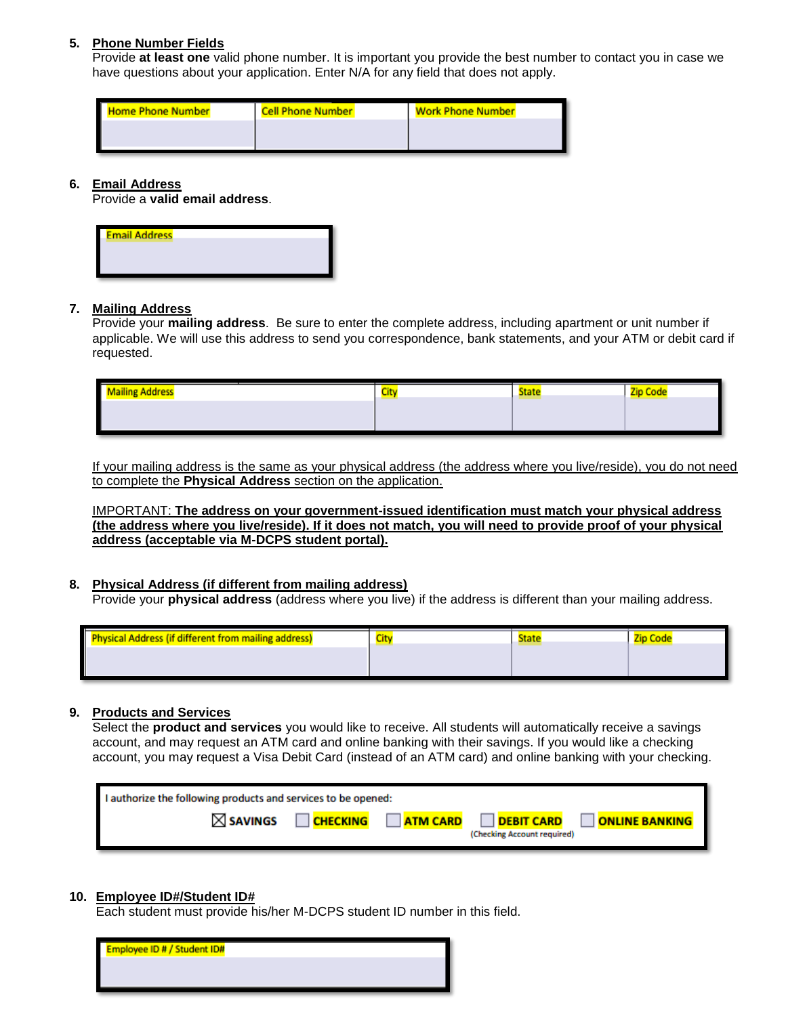# **5. Phone Number Fields**

Provide **at least one** valid phone number. It is important you provide the best number to contact you in case we have questions about your application. Enter N/A for any field that does not apply.

| <b>Home Phone Number</b> | <b>Cell Phone Number</b> | <b>Work Phone Number</b> |
|--------------------------|--------------------------|--------------------------|
| I                        |                          |                          |
|                          |                          |                          |

#### **6. Email Address**

Provide a **valid email address**.

| <b>Email Address</b> |  |  |
|----------------------|--|--|
|                      |  |  |
|                      |  |  |
|                      |  |  |

## **7. Mailing Address**

Provide your **mailing address**. Be sure to enter the complete address, including apartment or unit number if applicable. We will use this address to send you correspondence, bank statements, and your ATM or debit card if requested.

| <b>Mailing Address</b> | City | <b>State</b><br>__ | Zip Code |
|------------------------|------|--------------------|----------|
|                        |      |                    |          |
|                        |      |                    |          |

If your mailing address is the same as your physical address (the address where you live/reside), you do not need to complete the **Physical Address** section on the application.

IMPORTANT: **The address on your government-issued identification must match your physical address (the address where you live/reside). If it does not match, you will need to provide proof of your physical address (acceptable via M-DCPS student portal).**

# **8. Physical Address (if different from mailing address)**

Provide your **physical address** (address where you live) if the address is different than your mailing address.

| <b>Physical Address (if different from mailing address)</b> | City | State |  |
|-------------------------------------------------------------|------|-------|--|
|                                                             |      |       |  |
|                                                             |      |       |  |

## **9. Products and Services**

Select the **product and services** you would like to receive. All students will automatically receive a savings account, and may request an ATM card and online banking with their savings. If you would like a checking account, you may request a Visa Debit Card (instead of an ATM card) and online banking with your checking.

| I authorize the following products and services to be opened: |                 |                 |                                                  |                       |  |
|---------------------------------------------------------------|-----------------|-----------------|--------------------------------------------------|-----------------------|--|
| $\boxtimes$ SAVINGS                                           | <b>CHECKING</b> | <b>ATM CARD</b> | <b>DEBIT CARD</b><br>(Checking Account required) | <b>ONLINE BANKING</b> |  |

## **10. Employee ID#/Student ID#**

Each student must provide his/her M-DCPS student ID number in this field.

| <b>Employee ID # / Student ID#</b> |  |  |
|------------------------------------|--|--|
|                                    |  |  |
|                                    |  |  |